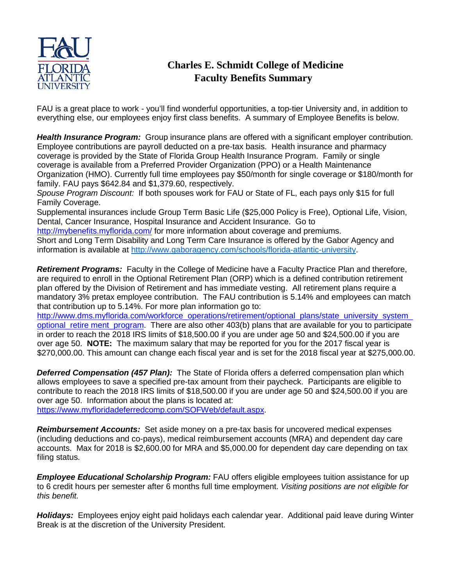

## **Charles E. Schmidt College of Medicine Faculty Benefits Summary**

FAU is a great place to work - you'll find wonderful opportunities, a top-tier University and, in addition to everything else, our employees enjoy first class benefits. A summary of Employee Benefits is below.

*Health Insurance Program:* Group insurance plans are offered with a significant employer contribution. Employee contributions are payroll deducted on a pre-tax basis. Health insurance and pharmacy coverage is provided by the State of Florida Group Health Insurance Program. Family or single coverage is available from a Preferred Provider Organization (PPO) or a Health Maintenance Organization (HMO). Currently full time employees pay \$50/month for single coverage or \$180/month for family. FAU pays \$642.84 and \$1,379.60, respectively.

*Spouse Program Discount:* If both spouses work for FAU or State of FL, each pays only \$15 for full Family Coverage.

Supplemental insurances include Group Term Basic Life (\$25,000 Policy is Free), Optional Life, Vision, Dental, Cancer Insurance, Hospital Insurance and Accident Insurance. Go to

<http://mybenefits.myflorida.com/> for more information about coverage and premiums. Short and Long Term Disability and Long Term Care Insurance is offered by the Gabor Agency and information is available at [http://www.gaboragency.com/schools/florida-atlantic-university.](http://www.gaboragency.com/schools/florida-atlantic-university)

*Retirement Programs:* Faculty in the College of Medicine have a Faculty Practice Plan and therefore, are required to enroll in the Optional Retirement Plan (ORP) which is a defined contribution retirement plan offered by the Division of Retirement and has immediate vesting. All retirement plans require a mandatory 3% pretax employee contribution. The FAU contribution is 5.14% and employees can match that contribution up to 5.14%. For more plan information go to:

http://www.dms.myflorida.com/workforce\_operations/retirement/optional\_plans/state\_university\_system [optional\\_retire ment\\_program.](http://www.dms.myflorida.com/workforce_operations/retirement/optional_plans/state_university_system_optional_retirement_program) There are also other 403(b) plans that are available for you to participate in order to reach the 2018 IRS limits of \$18,500.00 if you are under age 50 and \$24,500.00 if you are over age 50. **NOTE:** The maximum salary that may be reported for you for the 2017 fiscal year is \$270,000.00. This amount can change each fiscal year and is set for the 2018 fiscal year at \$275,000.00.

*Deferred Compensation (457 Plan):* The State of Florida offers a deferred compensation plan which allows employees to save a specified pre-tax amount from their paycheck. Participants are eligible to contribute to reach the 2018 IRS limits of \$18,500.00 if [y](https://www.myfloridadeferredcomp.com/SOFWeb/default.aspx)ou are under age 50 and \$24,500.00 if you are over age 50. Information about the plans is located at:

[https://www.myfloridadeferredcomp.com/SOFWeb/default.aspx.](https://www.myfloridadeferredcomp.com/SOFWeb/default.aspx)

*Reimbursement Accounts:* Set aside money on a pre-tax basis for uncovered medical expenses (including deductions and co-pays), medical reimbursement accounts (MRA) and dependent day care accounts. Max for 2018 is \$2,600.00 for MRA and \$5,000.00 for dependent day care depending on tax filing status.

**Employee Educational Scholarship Program:** FAU offers eligible employees tuition assistance for up to 6 credit hours per semester after 6 months full time employment. *Visiting positions are not eligible for this benefit.* 

*Holidays:* Employees enjoy eight paid holidays each calendar year. Additional paid leave during Winter Break is at the discretion of the University President.